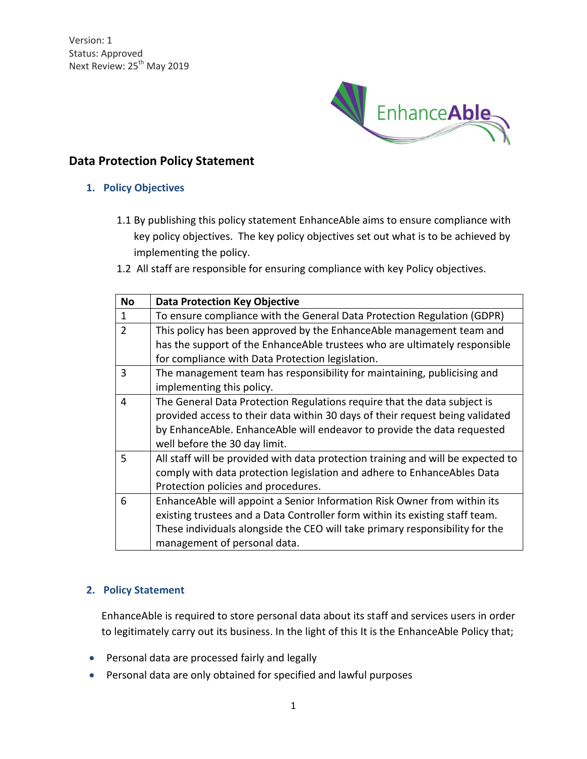

# **Data Protection Policy Statement**

### **1. Policy Objectives**

- 1.1 By publishing this policy statement EnhanceAble aims to ensure compliance with key policy objectives. The key policy objectives set out what is to be achieved by implementing the policy.
- 1.2 All staff are responsible for ensuring compliance with key Policy objectives.

| <b>No</b>                                                                              | <b>Data Protection Key Objective</b>                                             |  |
|----------------------------------------------------------------------------------------|----------------------------------------------------------------------------------|--|
| $\mathbf{1}$                                                                           | To ensure compliance with the General Data Protection Regulation (GDPR)          |  |
| $\overline{2}$<br>This policy has been approved by the EnhanceAble management team and |                                                                                  |  |
|                                                                                        | has the support of the EnhanceAble trustees who are ultimately responsible       |  |
|                                                                                        | for compliance with Data Protection legislation.                                 |  |
| 3                                                                                      | The management team has responsibility for maintaining, publicising and          |  |
|                                                                                        | implementing this policy.                                                        |  |
| 4                                                                                      | The General Data Protection Regulations require that the data subject is         |  |
|                                                                                        | provided access to their data within 30 days of their request being validated    |  |
|                                                                                        | by EnhanceAble. EnhanceAble will endeavor to provide the data requested          |  |
|                                                                                        | well before the 30 day limit.                                                    |  |
| 5                                                                                      | All staff will be provided with data protection training and will be expected to |  |
|                                                                                        | comply with data protection legislation and adhere to EnhanceAbles Data          |  |
|                                                                                        | Protection policies and procedures.                                              |  |
| 6                                                                                      | EnhanceAble will appoint a Senior Information Risk Owner from within its         |  |
|                                                                                        | existing trustees and a Data Controller form within its existing staff team.     |  |
|                                                                                        | These individuals alongside the CEO will take primary responsibility for the     |  |
|                                                                                        | management of personal data.                                                     |  |

#### **2. Policy Statement**

EnhanceAble is required to store personal data about its staff and services users in order to legitimately carry out its business. In the light of this It is the EnhanceAble Policy that;

- Personal data are processed fairly and legally
- Personal data are only obtained for specified and lawful purposes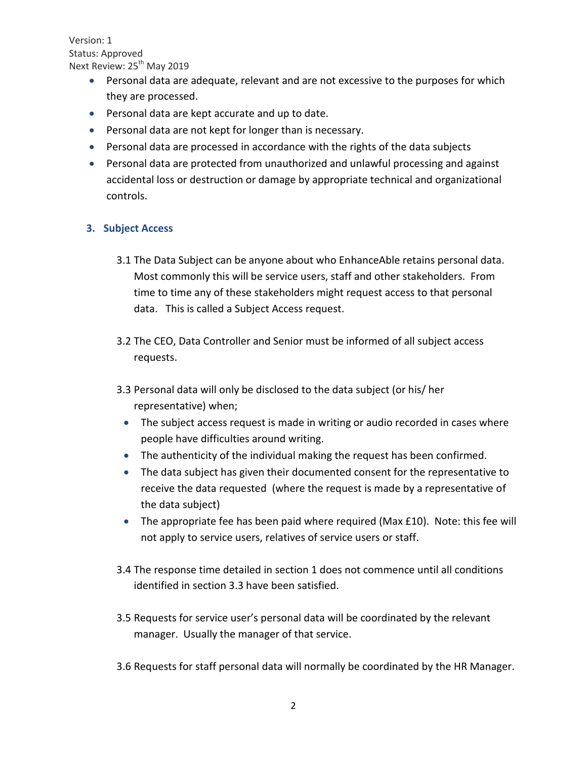- Personal data are adequate, relevant and are not excessive to the purposes for which they are processed.
- Personal data are kept accurate and up to date.
- Personal data are not kept for longer than is necessary.
- Personal data are processed in accordance with the rights of the data subjects
- Personal data are protected from unauthorized and unlawful processing and against accidental loss or destruction or damage by appropriate technical and organizational controls.

## **3. Subject Access**

- 3.1 The Data Subject can be anyone about who EnhanceAble retains personal data. Most commonly this will be service users, staff and other stakeholders. From time to time any of these stakeholders might request access to that personal data. This is called a Subject Access request.
- 3.2 The CEO, Data Controller and Senior must be informed of all subject access requests.
- 3.3 Personal data will only be disclosed to the data subject (or his/ her representative) when;
	- The subject access request is made in writing or audio recorded in cases where people have difficulties around writing.
	- The authenticity of the individual making the request has been confirmed.
	- The data subject has given their documented consent for the representative to receive the data requested (where the request is made by a representative of the data subject)
	- The appropriate fee has been paid where required (Max £10). Note: this fee will not apply to service users, relatives of service users or staff.
- 3.4 The response time detailed in section 1 does not commence until all conditions identified in section 3.3 have been satisfied.
- 3.5 Requests for service user's personal data will be coordinated by the relevant manager. Usually the manager of that service.
- 3.6 Requests for staff personal data will normally be coordinated by the HR Manager.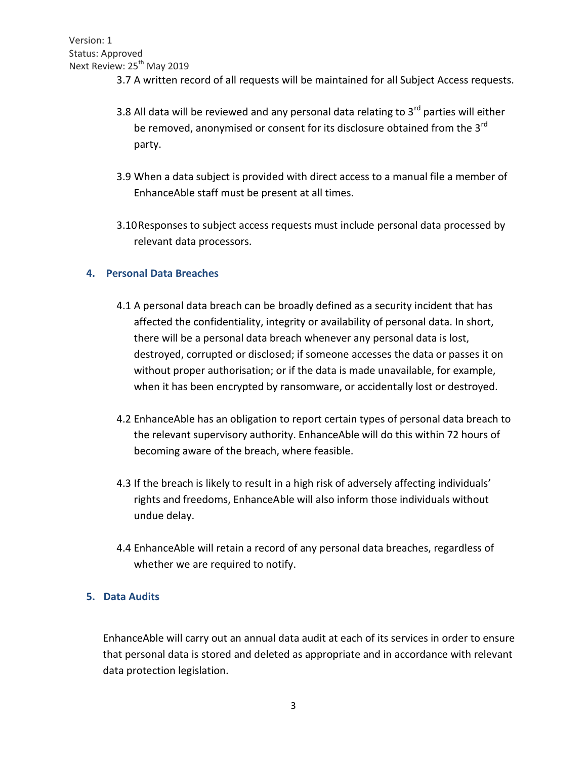- 3.7 A written record of all requests will be maintained for all Subject Access requests.
- 3.8 All data will be reviewed and any personal data relating to  $3<sup>rd</sup>$  parties will either be removed, anonymised or consent for its disclosure obtained from the 3<sup>rd</sup> party.
- 3.9 When a data subject is provided with direct access to a manual file a member of EnhanceAble staff must be present at all times.
- 3.10Responses to subject access requests must include personal data processed by relevant data processors.

### **4. Personal Data Breaches**

- 4.1 A personal data breach can be broadly defined as a security incident that has affected the confidentiality, integrity or availability of personal data. In short, there will be a personal data breach whenever any personal data is lost, destroyed, corrupted or disclosed; if someone accesses the data or passes it on without proper authorisation; or if the data is made unavailable, for example, when it has been encrypted by ransomware, or accidentally lost or destroyed.
- 4.2 EnhanceAble has an obligation to report certain types of personal data breach to the relevant supervisory authority. EnhanceAble will do this within 72 hours of becoming aware of the breach, where feasible.
- 4.3 If the breach is likely to result in a high risk of adversely affecting individuals' rights and freedoms, EnhanceAble will also inform those individuals without undue delay.
- 4.4 EnhanceAble will retain a record of any personal data breaches, regardless of whether we are required to notify.

#### **5. Data Audits**

EnhanceAble will carry out an annual data audit at each of its services in order to ensure that personal data is stored and deleted as appropriate and in accordance with relevant data protection legislation.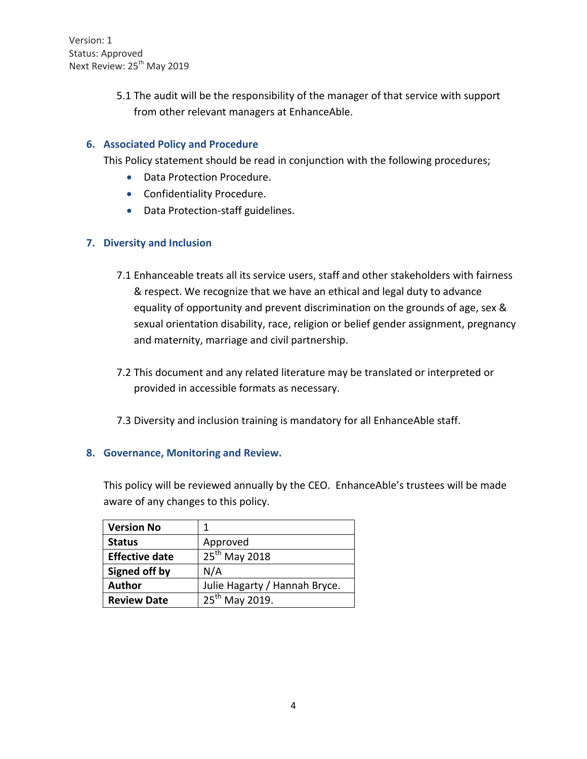> 5.1 The audit will be the responsibility of the manager of that service with support from other relevant managers at EnhanceAble.

### **6. Associated Policy and Procedure**

This Policy statement should be read in conjunction with the following procedures;

- Data Protection Procedure.
- Confidentiality Procedure.
- Data Protection-staff guidelines.

### **7. Diversity and Inclusion**

- 7.1 Enhanceable treats all its service users, staff and other stakeholders with fairness & respect. We recognize that we have an ethical and legal duty to advance equality of opportunity and prevent discrimination on the grounds of age, sex & sexual orientation disability, race, religion or belief gender assignment, pregnancy and maternity, marriage and civil partnership.
- 7.2 This document and any related literature may be translated or interpreted or provided in accessible formats as necessary.
- 7.3 Diversity and inclusion training is mandatory for all EnhanceAble staff.

#### **8. Governance, Monitoring and Review.**

This policy will be reviewed annually by the CEO. EnhanceAble's trustees will be made aware of any changes to this policy.

| <b>Version No</b>     | 1                             |
|-----------------------|-------------------------------|
| <b>Status</b>         | Approved                      |
| <b>Effective date</b> | 25 <sup>th</sup> May 2018     |
| Signed off by         | N/A                           |
| <b>Author</b>         | Julie Hagarty / Hannah Bryce. |
| <b>Review Date</b>    | 25 <sup>th</sup> May 2019.    |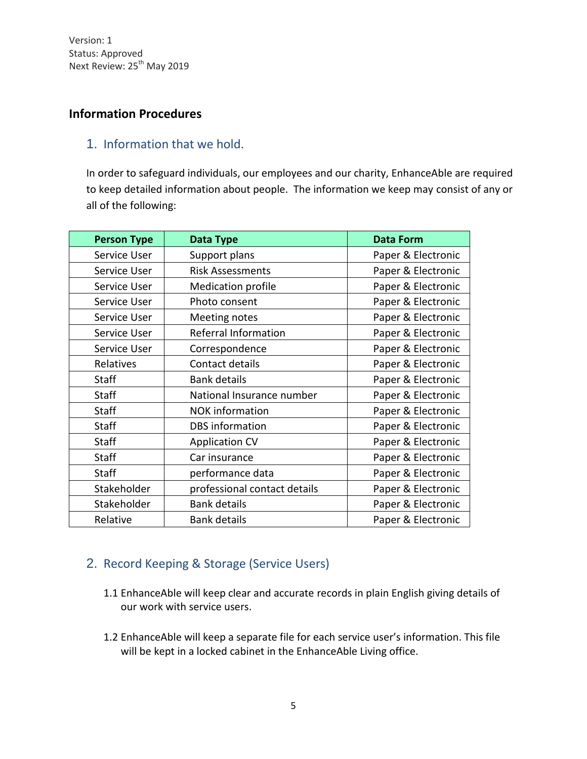# **Information Procedures**

# 1. Information that we hold.

In order to safeguard individuals, our employees and our charity, EnhanceAble are required to keep detailed information about people. The information we keep may consist of any or all of the following:

| <b>Person Type</b> | Data Type                    | <b>Data Form</b>   |
|--------------------|------------------------------|--------------------|
| Service User       | Support plans                | Paper & Electronic |
| Service User       | <b>Risk Assessments</b>      | Paper & Electronic |
| Service User       | <b>Medication profile</b>    | Paper & Electronic |
| Service User       | Photo consent                | Paper & Electronic |
| Service User       | <b>Meeting notes</b>         | Paper & Electronic |
| Service User       | Referral Information         | Paper & Electronic |
| Service User       | Correspondence               | Paper & Electronic |
| Relatives          | Contact details              | Paper & Electronic |
| Staff              | <b>Bank details</b>          | Paper & Electronic |
| <b>Staff</b>       | National Insurance number    | Paper & Electronic |
| <b>Staff</b>       | <b>NOK</b> information       | Paper & Electronic |
| <b>Staff</b>       | <b>DBS</b> information       | Paper & Electronic |
| <b>Staff</b>       | <b>Application CV</b>        | Paper & Electronic |
| <b>Staff</b>       | Car insurance                | Paper & Electronic |
| <b>Staff</b>       | performance data             | Paper & Electronic |
| Stakeholder        | professional contact details | Paper & Electronic |
| Stakeholder        | <b>Bank details</b>          | Paper & Electronic |
| Relative           | <b>Bank details</b>          | Paper & Electronic |

# 2. Record Keeping & Storage (Service Users)

- 1.1 EnhanceAble will keep clear and accurate records in plain English giving details of our work with service users.
- 1.2 EnhanceAble will keep a separate file for each service user's information. This file will be kept in a locked cabinet in the EnhanceAble Living office.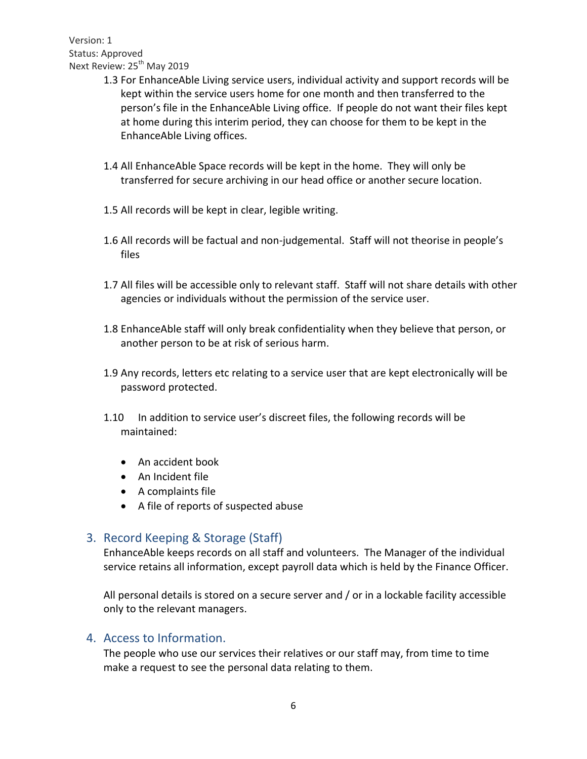- 1.3 For EnhanceAble Living service users, individual activity and support records will be kept within the service users home for one month and then transferred to the person's file in the EnhanceAble Living office. If people do not want their files kept at home during this interim period, they can choose for them to be kept in the EnhanceAble Living offices.
- 1.4 All EnhanceAble Space records will be kept in the home. They will only be transferred for secure archiving in our head office or another secure location.
- 1.5 All records will be kept in clear, legible writing.
- 1.6 All records will be factual and non-judgemental. Staff will not theorise in people's files
- 1.7 All files will be accessible only to relevant staff. Staff will not share details with other agencies or individuals without the permission of the service user.
- 1.8 EnhanceAble staff will only break confidentiality when they believe that person, or another person to be at risk of serious harm.
- 1.9 Any records, letters etc relating to a service user that are kept electronically will be password protected.
- 1.10 In addition to service user's discreet files, the following records will be maintained:
	- An accident book
	- An Incident file
	- A complaints file
	- A file of reports of suspected abuse

# 3. Record Keeping & Storage (Staff)

EnhanceAble keeps records on all staff and volunteers. The Manager of the individual service retains all information, except payroll data which is held by the Finance Officer.

All personal details is stored on a secure server and / or in a lockable facility accessible only to the relevant managers.

# 4. Access to Information.

The people who use our services their relatives or our staff may, from time to time make a request to see the personal data relating to them.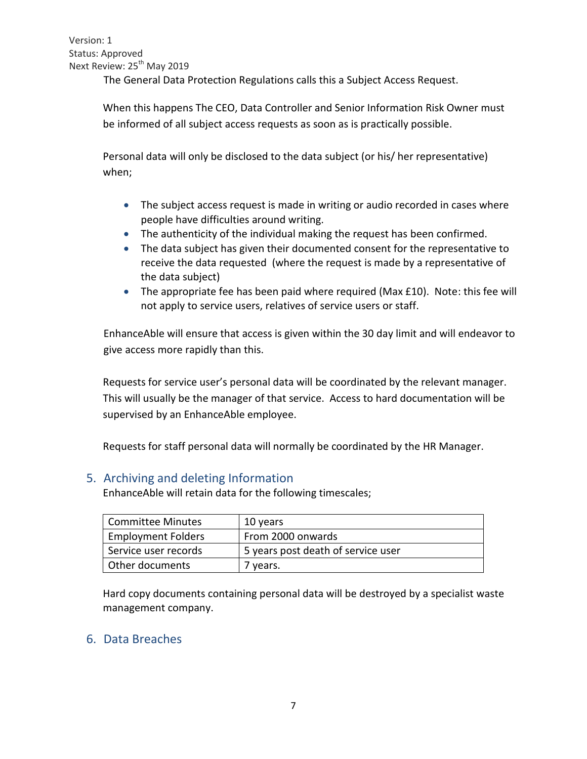The General Data Protection Regulations calls this a Subject Access Request.

When this happens The CEO, Data Controller and Senior Information Risk Owner must be informed of all subject access requests as soon as is practically possible.

Personal data will only be disclosed to the data subject (or his/ her representative) when;

- The subject access request is made in writing or audio recorded in cases where people have difficulties around writing.
- The authenticity of the individual making the request has been confirmed.
- The data subject has given their documented consent for the representative to receive the data requested (where the request is made by a representative of the data subject)
- The appropriate fee has been paid where required (Max £10). Note: this fee will not apply to service users, relatives of service users or staff.

EnhanceAble will ensure that access is given within the 30 day limit and will endeavor to give access more rapidly than this.

Requests for service user's personal data will be coordinated by the relevant manager. This will usually be the manager of that service. Access to hard documentation will be supervised by an EnhanceAble employee.

Requests for staff personal data will normally be coordinated by the HR Manager.

## 5. Archiving and deleting Information

EnhanceAble will retain data for the following timescales;

| <b>Committee Minutes</b>  | 10 years                           |
|---------------------------|------------------------------------|
| <b>Employment Folders</b> | From 2000 onwards                  |
| Service user records      | 5 years post death of service user |
| Other documents           | 7 years.                           |

Hard copy documents containing personal data will be destroyed by a specialist waste management company.

## 6. Data Breaches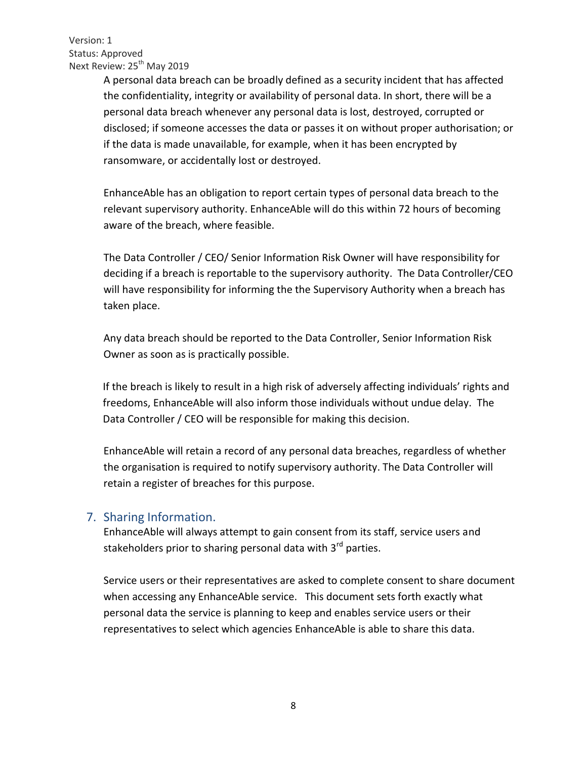> A personal data breach can be broadly defined as a security incident that has affected the confidentiality, integrity or availability of personal data. In short, there will be a personal data breach whenever any personal data is lost, destroyed, corrupted or disclosed; if someone accesses the data or passes it on without proper authorisation; or if the data is made unavailable, for example, when it has been encrypted by ransomware, or accidentally lost or destroyed.

EnhanceAble has an obligation to report certain types of personal data breach to the relevant supervisory authority. EnhanceAble will do this within 72 hours of becoming aware of the breach, where feasible.

The Data Controller / CEO/ Senior Information Risk Owner will have responsibility for deciding if a breach is reportable to the supervisory authority. The Data Controller/CEO will have responsibility for informing the the Supervisory Authority when a breach has taken place.

Any data breach should be reported to the Data Controller, Senior Information Risk Owner as soon as is practically possible.

If the breach is likely to result in a high risk of adversely affecting individuals' rights and freedoms, EnhanceAble will also inform those individuals without undue delay. The Data Controller / CEO will be responsible for making this decision.

EnhanceAble will retain a record of any personal data breaches, regardless of whether the organisation is required to notify supervisory authority. The Data Controller will retain a register of breaches for this purpose.

## 7. Sharing Information.

EnhanceAble will always attempt to gain consent from its staff, service users and stakeholders prior to sharing personal data with 3<sup>rd</sup> parties.

Service users or their representatives are asked to complete consent to share document when accessing any EnhanceAble service. This document sets forth exactly what personal data the service is planning to keep and enables service users or their representatives to select which agencies EnhanceAble is able to share this data.